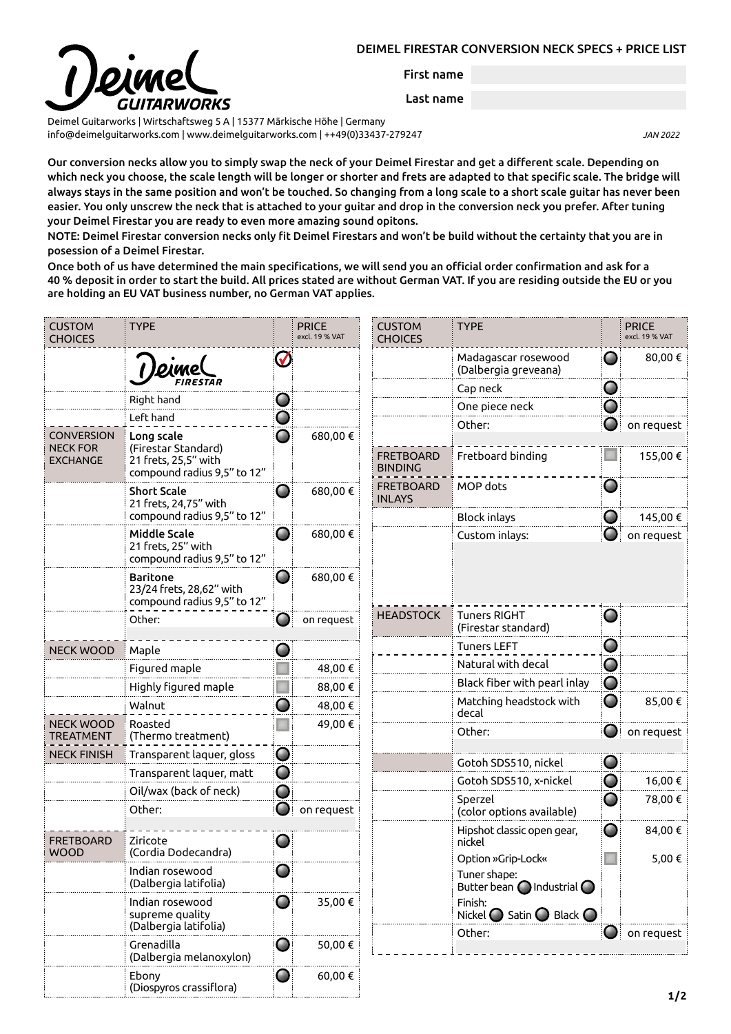## DEIMEL FIRESTAR CONVERSION NECK SPECS + PRICE LIST



First name

Last name

Deimel Guitarworks | Wirtschaftsweg 5 A | 15377 Märkische Höhe | Germany [info@deimelguitarworks.com](mailto:info@deimelguitarworks.com) | [www.deimelguitarworks.com](http://www.deimelguitarworks.com) | ++49(0)33437-279247 *JAN 2022*

Our conversion necks allow you to simply swap the neck of your Deimel Firestar and get a different scale. Depending on which neck you choose, the scale length will be longer or shorter and frets are adapted to that specific scale. The bridge will always stays in the same position and won't be touched. So changing from a long scale to a short scale guitar has never been easier. You only unscrew the neck that is attached to your guitar and drop in the conversion neck you prefer. After tuning your Deimel Firestar you are ready to even more amazing sound opitons.

NOTE: Deimel Firestar conversion necks only fit Deimel Firestars and won't be build without the certainty that you are in posession of a Deimel Firestar.

Once both of us have determined the main specifications, we will send you an official order confirmation and ask for a 40 % deposit in order to start the build. All prices stated are without German VAT. If you are residing outside the EU or you are holding an EU VAT business number, no German VAT applies.

| <b>CUSTOM</b><br><b>CHOICES</b>                         | <b>TYPE</b>                                                                              |            | <b>PRICE</b><br>excl. 19 % VAT | <b>CUSTOM</b><br><b>CHOICES</b>    | <b>TYPE</b>                                                                                                                                     |   | <b>PRICE</b><br>excl. 19 % VAT |
|---------------------------------------------------------|------------------------------------------------------------------------------------------|------------|--------------------------------|------------------------------------|-------------------------------------------------------------------------------------------------------------------------------------------------|---|--------------------------------|
|                                                         |                                                                                          | $\sqrt{}$  |                                |                                    | Madagascar rosewood<br>(Dalbergia greveana)                                                                                                     | O | 80,00€                         |
|                                                         |                                                                                          |            |                                |                                    | Cap neck                                                                                                                                        | O |                                |
|                                                         | Right hand                                                                               | O          |                                |                                    | One piece neck                                                                                                                                  | O |                                |
|                                                         | Left hand                                                                                | $\Box$     |                                |                                    | Other:                                                                                                                                          |   | on request                     |
| <b>CONVERSION</b><br><b>NECK FOR</b><br><b>EXCHANGE</b> | Long scale<br>(Firestar Standard)<br>21 frets, 25,5" with<br>compound radius 9,5" to 12" |            | 680,00€                        | <b>FRETBOARD</b><br><b>BINDING</b> | Fretboard binding                                                                                                                               |   | 155,00€                        |
|                                                         | <b>Short Scale</b><br>21 frets, 24,75" with                                              | O          | 680,00€                        | <b>FRETBOARD</b><br><b>INLAYS</b>  | MOP dots                                                                                                                                        | O |                                |
|                                                         | compound radius 9,5" to 12"                                                              |            |                                |                                    | <b>Block inlays</b>                                                                                                                             | O | 145,00€                        |
|                                                         | <b>Middle Scale</b><br>21 frets, 25" with<br>compound radius 9,5" to 12"                 | O          | 680,00€                        |                                    | Custom inlays:                                                                                                                                  |   | on request                     |
|                                                         | <b>Baritone</b><br>23/24 frets, 28,62" with<br>compound radius 9,5" to 12"               | $\bigcirc$ | 680,00€                        |                                    |                                                                                                                                                 |   |                                |
|                                                         | Other:                                                                                   | O          | on request                     | <b>HEADSTOCK</b>                   | <b>Tuners RIGHT</b><br>(Firestar standard)                                                                                                      | Ő |                                |
| <b>NECK WOOD</b>                                        | Maple                                                                                    |            |                                |                                    | <b>Tuners LEFT</b>                                                                                                                              | O |                                |
|                                                         | Figured maple                                                                            |            | 48,00 €                        |                                    | Natural with decal                                                                                                                              | O |                                |
|                                                         | Highly figured maple                                                                     |            | 88,00 €                        |                                    | Black fiber with pearl inlay                                                                                                                    | O |                                |
|                                                         | Walnut                                                                                   | w          | 48,00 €                        |                                    | Matching headstock with<br>decal                                                                                                                | O | 85,00€                         |
| <b>NECK WOOD</b><br><b>TREATMENT</b>                    | Roasted<br>(Thermo treatment)                                                            |            | 49,00 €                        |                                    | Other:                                                                                                                                          | O | on request                     |
| <b>NECK FINISH</b>                                      | Transparent laquer, gloss                                                                | O          |                                |                                    | Gotoh SDS510, nickel                                                                                                                            | Ő |                                |
|                                                         | Transparent laquer, matt                                                                 | O          |                                |                                    | Gotoh SDS510, x-nickel                                                                                                                          | O | 16,00€                         |
|                                                         | Oil/wax (back of neck)                                                                   | O          |                                |                                    | Sperzel                                                                                                                                         | O | 78,00€                         |
|                                                         | Other:                                                                                   |            | on request                     |                                    | (color options available)                                                                                                                       |   |                                |
| <b>FRETBOARD</b><br><b>WOOD</b>                         | Ziricote<br>(Cordia Dodecandra)                                                          |            |                                |                                    | Hipshot classic open gear,<br>nickel                                                                                                            | O | 84,00€<br>5,00 €               |
|                                                         | Indian rosewood<br>(Dalbergia latifolia)                                                 |            |                                |                                    | Option »Grip-Lock«<br>Tuner shape:<br>Butter bean $\bigcap$ Industrial $\bigcap$<br>Finish:<br>Nickel $\bigcap$ Satin $\bigcap$ Black $\bigcap$ |   |                                |
|                                                         | Indian rosewood<br>supreme quality<br>(Dalbergia latifolia)                              | Ő          | 35,00 €                        |                                    |                                                                                                                                                 |   |                                |
|                                                         | Grenadilla<br>(Dalbergia melanoxylon)                                                    | O          | 50,00€                         |                                    | Other:                                                                                                                                          |   | $\bigcirc$ on request          |
|                                                         | Ebony<br>(Diospyros crassiflora)                                                         | Ő          | 60,00 €                        |                                    |                                                                                                                                                 |   | 112                            |